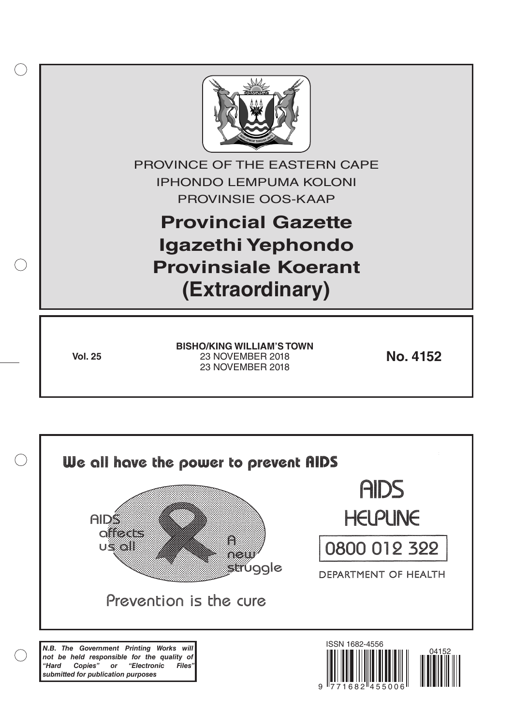

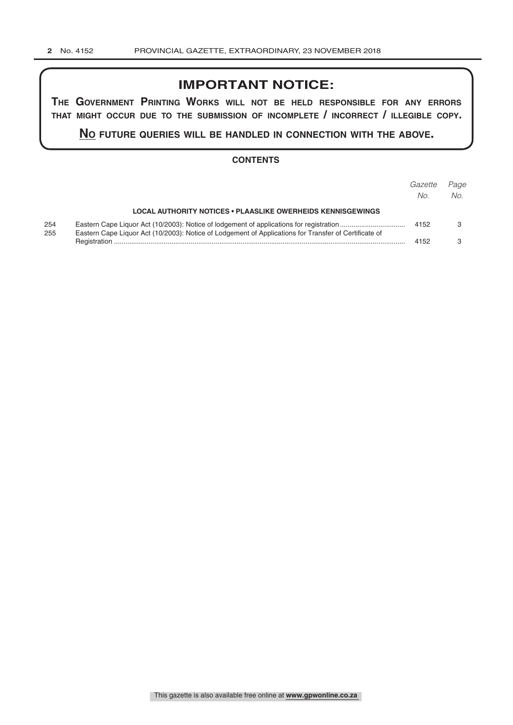# **IMPORTANT NOTICE:**

**The GovernmenT PrinTinG Works Will noT be held resPonsible for any errors ThaT miGhT occur due To The submission of incomPleTe / incorrecT / illeGible coPy.**

**no fuTure queries Will be handled in connecTion WiTh The above.**

### **CONTENTS**

|            |                                                                                                       | Gazette<br>No. | Page<br>No. |
|------------|-------------------------------------------------------------------------------------------------------|----------------|-------------|
|            | <b>LOCAL AUTHORITY NOTICES • PLAASLIKE OWERHEIDS KENNISGEWINGS</b>                                    |                |             |
| 254<br>255 | Eastern Cape Liquor Act (10/2003): Notice of Lodgement of Applications for Transfer of Certificate of | 4152           |             |
|            |                                                                                                       | 4152           |             |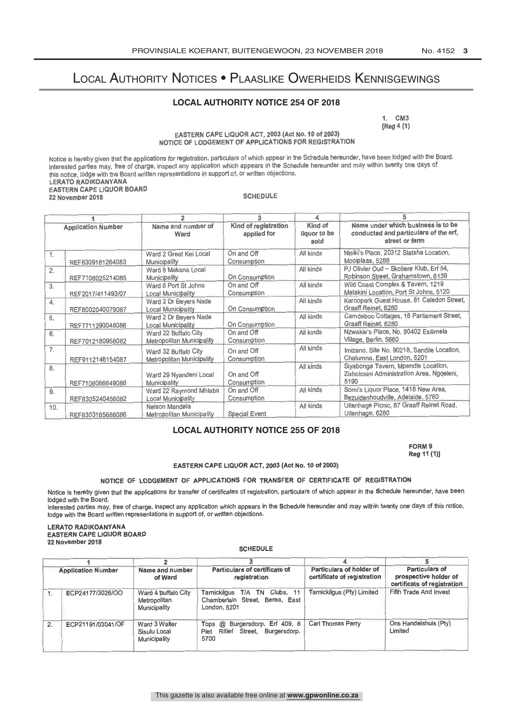## Local Authority Notices • Plaaslike Owerheids Kennisgewings

### **LOCAL AUTHORITY NOTICE 254 OF 2018**

1. CM3<br>[Reg 4 (1)

 $\mathbf{r}$  (1)

EASTERN SALE ENGSTAST, 2003 (ACTION TO CLEAR)<br>AF AF LABAFHENT AF ABBLIAATIONS EOD BECISTDATION NOTICE OF LODGEMENT OF APPLICATIONS FOR REGISTRATION

Notice is hereby given that the applications for registration, particulars of which appear in the Schedule hereunder, have been lodged with the Board. Interested parties may, free of charge, inspect any application which appears in the Schedule hereunder and may within twenty one days of<br>Lie calies belge with the Board written consequentions in support of or written obje this notice, lodge with the Board written representations in support of, or written objections. LERATO RADIKOANYANA EASTERN CAPE LIQUOR BOARD 22 November 2018

| <b>Application Number</b> |                   |                                                          | 3                                   | 4                               |                                                                                               |
|---------------------------|-------------------|----------------------------------------------------------|-------------------------------------|---------------------------------|-----------------------------------------------------------------------------------------------|
|                           |                   | Name and number of<br>Ward                               | Kind of registration<br>applied for | Kind of<br>liquor to be<br>sold | Name under which business is to be<br>conducted and particulars of the erf,<br>street or farm |
| 1.                        | REF8309181264083  | Ward 2 Great Kei Local<br>Municipality                   | On and Off<br>Consumption           | All kinds                       | Ntsiki's Place, 20312 Slatsha Location,<br>Mooiplaas, 5288                                    |
| 2.                        | REF7108025214085  | Ward 8 Makana Local<br>Municipality                      | On Consumption                      | All kinds                       | PJ Olivier Oud - Skoliere Klub, Erf 54,<br>Robinson Street, Grahamstown, 6139                 |
| 3.                        | REF2017/411493/07 | Ward 6 Port St Johns<br><b>Local Municipality</b>        | On and Off<br>Consumption           | All kinds                       | Wild Coast Complex & Tavern, 1219<br>Matakini Location, Port St Johns, 5120                   |
| 4.                        | REF8002040079087  | Ward 2 Dr Beyers Nade<br><b>Local Municipality</b>       | On Consumption                      | All kinds                       | Karoopark Guest House, 81 Caledon Street,<br>Graaff Reinet, 6280                              |
| 5.                        | REF7711290048086  | Ward 2 Dr Beyers Nade<br><b>Local Municipality</b>       | On Consumption                      | All kinds                       | Camdeboo Cottages, 16 Parliament Street,<br>Graaff Reinet, 6280                               |
| 6.                        | REF7012180958082  | Ward 22 Buffalo City<br>Metropolitan Municipality        | On and Off<br>Consumption           | All kinds                       | Nzwakie's Place, No. 90402 Esilimela<br>Village, Berlin, 5660                                 |
| 7.                        | REF9112146154087  | Ward 32 Buffalo City<br><b>Metropolitan Municipality</b> | On and Off<br>Consumption           | All kinds                       | Imizano, Site No. 90218, Sandile Location,<br>Chalumna, East London, 5201                     |
| 8.                        | REF7106066649086  | Ward 29 Nyandeni Local<br>Municipality                   | On and Off<br>Consumption           | All kinds                       | Siyabonga Tavern, Mpendle Location,<br>Zixholosini Administration Area, Ngqeleni,<br>5190     |
| 9.                        | REF8305240456082  | Ward 22 Raymond Mhlaba<br>Local Municipality             | On and Off<br>Consumption           | All kinds                       | Somi's Liquor Place, 1418 New Area,<br>Bezuidenhoudville, Adelaide, 5760                      |
| 10.                       | REF8303165688086  | Nelson Mandela<br>Metropolitan Municipality              | <b>Special Event</b>                | All kinds                       | Uitenhage Picnic, 87 Graaff Reinet Road,<br>Uitenhage, 6280                                   |

## **LOCAL AUTHORITY NOTICE 255 OF 2018**

FORM 9  $P_{0}$  $(44.11)$ Reg 11 (1)]

EASTERN CAPE LIQUOR ACT, 2003 (Act No.10 of 2003)

#### NOTICE OF LODGEMENT OF APPLICATIONS FOR TRANSFER OF CERTIFICATE OF REGISTRATION

Notice is hereby given that the applications for transfer of certificates of registration, particulars of which appear in the Schedule hereunder, have been lodged with the Board.

Interested parties may, free of charge, inspect any application which appears in the Schedule hereunder and may within twenty one days of this notice, lodge with the Board written representations in support of, or written objections.

#### LERATO RADIKOANYANA EASTERN CAPE LIQUOR BOARD 22 November 2018

**SCHEDULE** 

| <b>Application Number</b><br>of Ward |                   | Particulars of certificate of<br>Name and number<br>registration |                                                                                  |                                                         | <b>Particulars of</b><br>prospective holder of<br>certificate of registration |
|--------------------------------------|-------------------|------------------------------------------------------------------|----------------------------------------------------------------------------------|---------------------------------------------------------|-------------------------------------------------------------------------------|
|                                      |                   |                                                                  |                                                                                  | Particulars of holder of<br>certificate of registration |                                                                               |
|                                      | ECP24177/3026/OO  | Ward 4 Buffalo City<br>Metropolitan<br>Municipality              | Tarnickilgus T/A TN Clubs, 11<br>Chamberlain Street, Berea, East<br>London, 5201 | Tarnickilgus (Pty) Limited                              | Fifth Trade And Invest                                                        |
| $\overline{2}$ .                     | ECP21191/03041/OF | Ward 3 Walter<br>Sisulu Local<br>Municipality                    | Tops @ Burgersdorp, Erf 409, 6<br>Ritief Street, Burgersdorp,<br>Piet<br>5700    | Carl Thomas Perry                                       | Ons Handelshuis (Pty)<br>Limited                                              |